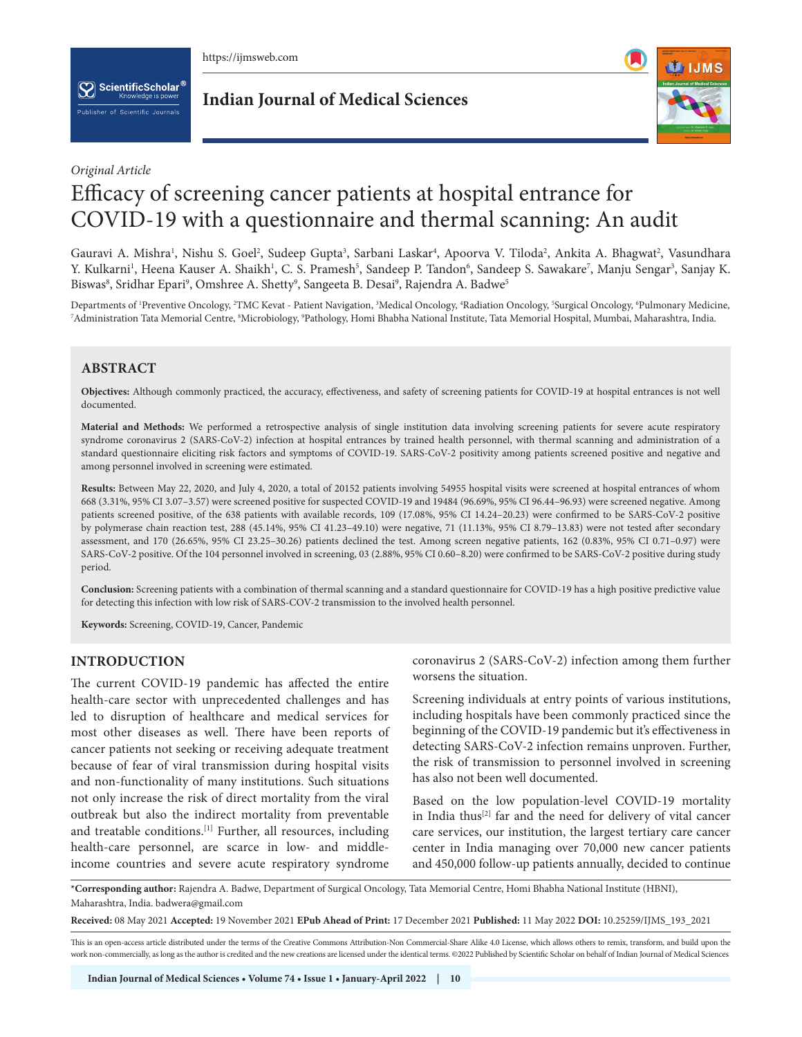

 $[\mathbf{\nabla}]$  ScientificScholar  $^6$ blisher of Scientific Journals

**Indian Journal of Medical Sciences**



## *Original Article*

# Efficacy of screening cancer patients at hospital entrance for COVID-19 with a questionnaire and thermal scanning: An audit

Gauravi A. Mishra', Nishu S. Goel², Sudeep Gupta<sup>3</sup>, Sarbani Laskar4, Apoorva V. Tiloda², Ankita A. Bhagwat², Vasundhara Y. Kulkarni<sup>1</sup>, Heena Kauser A. Shaikh<sup>1</sup>, C. S. Pramesh<sup>5</sup>, Sandeep P. Tandon<sup>6</sup>, Sandeep S. Sawakare<sup>7</sup>, Manju Sengar<sup>3</sup>, Sanjay K. Biswas $^{\rm 8}$ , Sridhar Epari $^{\rm 9}$ , Omshree A. Shetty $^{\rm 9}$ , Sangeeta B. Desai $^{\rm 9}$ , Rajendra A. Badwe $^{\rm 5}$ 

Departments of 'Preventive Oncology, <sup>2</sup>TMC Kevat - Patient Navigation, <sup>3</sup>Medical Oncology, "Radiation Oncology, <sup>5</sup>Surgical Oncology, <sup>6</sup>Pulmonary Medicine,<br><sup>7</sup>Administration Tata Memorial Centre ®Microbiology ®Pathology Administration Tata Memorial Centre, <sup>s</sup>Microbiology, <sup>9</sup>Pathology, Homi Bhabha National Institute, Tata Memorial Hospital, Mumbai, Maharashtra, India.

# **ABSTRACT**

**Objectives:** Although commonly practiced, the accuracy, effectiveness, and safety of screening patients for COVID-19 at hospital entrances is not well documented.

**Material and Methods:** We performed a retrospective analysis of single institution data involving screening patients for severe acute respiratory syndrome coronavirus 2 (SARS-CoV-2) infection at hospital entrances by trained health personnel, with thermal scanning and administration of a standard questionnaire eliciting risk factors and symptoms of COVID-19. SARS-CoV-2 positivity among patients screened positive and negative and among personnel involved in screening were estimated.

**Results:** Between May 22, 2020, and July 4, 2020, a total of 20152 patients involving 54955 hospital visits were screened at hospital entrances of whom 668 (3.31%, 95% CI 3.07–3.57) were screened positive for suspected COVID-19 and 19484 (96.69%, 95% CI 96.44–96.93) were screened negative. Among patients screened positive, of the 638 patients with available records, 109 (17.08%, 95% CI 14.24–20.23) were confirmed to be SARS-CoV-2 positive by polymerase chain reaction test, 288 (45.14%, 95% CI 41.23–49.10) were negative, 71 (11.13%, 95% CI 8.79–13.83) were not tested after secondary assessment, and 170 (26.65%, 95% CI 23.25–30.26) patients declined the test. Among screen negative patients, 162 (0.83%, 95% CI 0.71–0.97) were SARS-CoV-2 positive. Of the 104 personnel involved in screening, 03 (2.88%, 95% CI 0.60–8.20) were confirmed to be SARS-CoV-2 positive during study period.

**Conclusion:** Screening patients with a combination of thermal scanning and a standard questionnaire for COVID-19 has a high positive predictive value for detecting this infection with low risk of SARS-COV-2 transmission to the involved health personnel.

**Keywords:** Screening, COVID-19, Cancer, Pandemic

## **INTRODUCTION**

The current COVID-19 pandemic has affected the entire health-care sector with unprecedented challenges and has led to disruption of healthcare and medical services for most other diseases as well. There have been reports of cancer patients not seeking or receiving adequate treatment because of fear of viral transmission during hospital visits and non-functionality of many institutions. Such situations not only increase the risk of direct mortality from the viral outbreak but also the indirect mortality from preventable and treatable conditions.[1] Further, all resources, including health-care personnel, are scarce in low- and middleincome countries and severe acute respiratory syndrome

coronavirus 2 (SARS-CoV-2) infection among them further worsens the situation.

Screening individuals at entry points of various institutions, including hospitals have been commonly practiced since the beginning of the COVID-19 pandemic but it's effectiveness in detecting SARS-CoV-2 infection remains unproven. Further, the risk of transmission to personnel involved in screening has also not been well documented.

Based on the low population-level COVID-19 mortality in India thus<sup>[2]</sup> far and the need for delivery of vital cancer care services, our institution, the largest tertiary care cancer center in India managing over 70,000 new cancer patients and 450,000 follow-up patients annually, decided to continue

**\*Corresponding author:** Rajendra A. Badwe, Department of Surgical Oncology, Tata Memorial Centre, Homi Bhabha National Institute (HBNI), Maharashtra, India. badwera@gmail.com

**Received:** 08 May 2021 **Accepted:** 19 November 2021 **EPub Ahead of Print:** 17 December 2021 **Published:** 11 May 2022 **DOI:** [10.25259/IJMS\\_193\\_2021](https://dx.doi.org/10.25259/IJMS_193_2021)

This is an open-access article distributed under the terms of the Creative Commons Attribution-Non Commercial-Share Alike 4.0 License, which allows others to remix, transform, and build upon the work non-commercially, as long as the author is credited and the new creations are licensed under the identical terms. ©2022 Published by Scientific Scholar on behalf of Indian Journal of Medical Sciences

**Indian Journal of Medical Sciences • Volume 74 • Issue 1 • January-April 2022 | 10**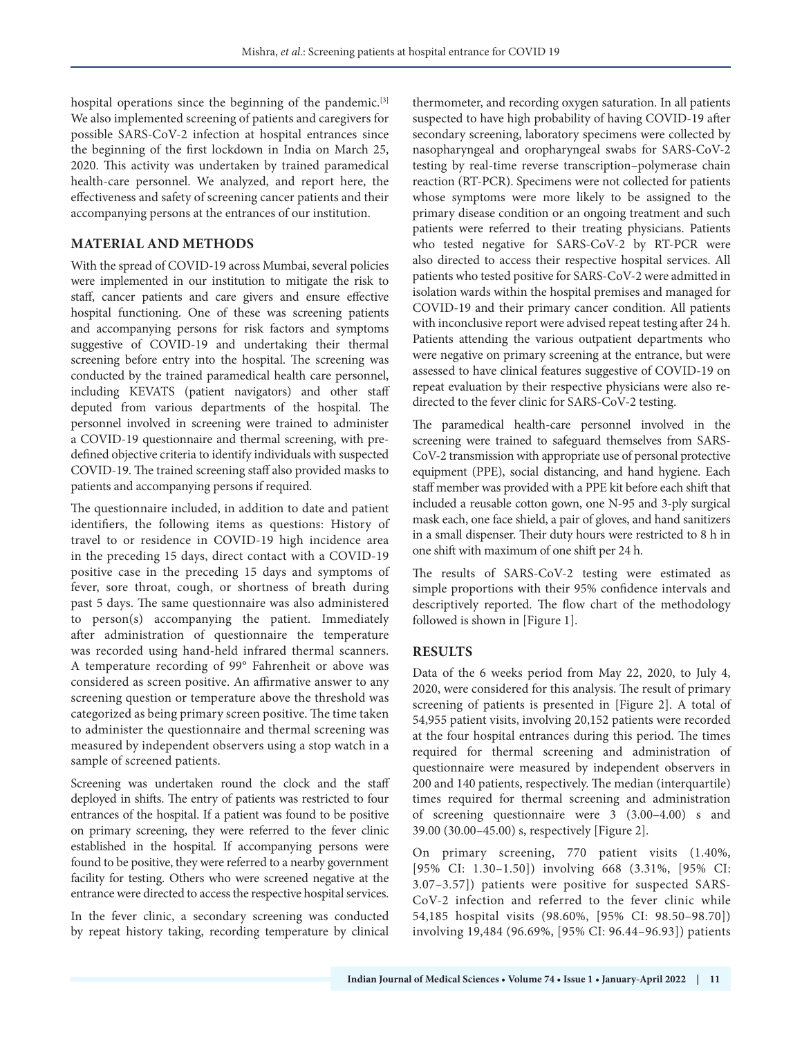hospital operations since the beginning of the pandemic.<sup>[3]</sup> We also implemented screening of patients and caregivers for possible SARS-CoV-2 infection at hospital entrances since the beginning of the first lockdown in India on March 25, 2020. This activity was undertaken by trained paramedical health-care personnel. We analyzed, and report here, the effectiveness and safety of screening cancer patients and their accompanying persons at the entrances of our institution.

## **MATERIAL AND METHODS**

With the spread of COVID-19 across Mumbai, several policies were implemented in our institution to mitigate the risk to staff, cancer patients and care givers and ensure effective hospital functioning. One of these was screening patients and accompanying persons for risk factors and symptoms suggestive of COVID-19 and undertaking their thermal screening before entry into the hospital. The screening was conducted by the trained paramedical health care personnel, including KEVATS (patient navigators) and other staff deputed from various departments of the hospital. The personnel involved in screening were trained to administer a COVID-19 questionnaire and thermal screening, with predefined objective criteria to identify individuals with suspected COVID-19. The trained screening staff also provided masks to patients and accompanying persons if required.

The questionnaire included, in addition to date and patient identifiers, the following items as questions: History of travel to or residence in COVID-19 high incidence area in the preceding 15 days, direct contact with a COVID-19 positive case in the preceding 15 days and symptoms of fever, sore throat, cough, or shortness of breath during past 5 days. The same questionnaire was also administered to person(s) accompanying the patient. Immediately after administration of questionnaire the temperature was recorded using hand-held infrared thermal scanners. A temperature recording of 99° Fahrenheit or above was considered as screen positive. An affirmative answer to any screening question or temperature above the threshold was categorized as being primary screen positive. The time taken to administer the questionnaire and thermal screening was measured by independent observers using a stop watch in a sample of screened patients.

Screening was undertaken round the clock and the staff deployed in shifts. The entry of patients was restricted to four entrances of the hospital. If a patient was found to be positive on primary screening, they were referred to the fever clinic established in the hospital. If accompanying persons were found to be positive, they were referred to a nearby government facility for testing. Others who were screened negative at the entrance were directed to access the respective hospital services.

In the fever clinic, a secondary screening was conducted by repeat history taking, recording temperature by clinical

thermometer, and recording oxygen saturation. In all patients suspected to have high probability of having COVID-19 after secondary screening, laboratory specimens were collected by nasopharyngeal and oropharyngeal swabs for SARS-CoV-2 testing by real-time reverse transcription–polymerase chain reaction (RT-PCR). Specimens were not collected for patients whose symptoms were more likely to be assigned to the primary disease condition or an ongoing treatment and such patients were referred to their treating physicians. Patients who tested negative for SARS-CoV-2 by RT-PCR were also directed to access their respective hospital services. All patients who tested positive for SARS-CoV-2 were admitted in isolation wards within the hospital premises and managed for COVID-19 and their primary cancer condition. All patients with inconclusive report were advised repeat testing after 24 h. Patients attending the various outpatient departments who were negative on primary screening at the entrance, but were assessed to have clinical features suggestive of COVID-19 on repeat evaluation by their respective physicians were also redirected to the fever clinic for SARS-CoV-2 testing.

The paramedical health-care personnel involved in the screening were trained to safeguard themselves from SARS-CoV-2 transmission with appropriate use of personal protective equipment (PPE), social distancing, and hand hygiene. Each staff member was provided with a PPE kit before each shift that included a reusable cotton gown, one N-95 and 3-ply surgical mask each, one face shield, a pair of gloves, and hand sanitizers in a small dispenser. Their duty hours were restricted to 8 h in one shift with maximum of one shift per 24 h.

The results of SARS-CoV-2 testing were estimated as simple proportions with their 95% confidence intervals and descriptively reported. The flow chart of the methodology followed is shown in [Figure 1].

# **RESULTS**

Data of the 6 weeks period from May 22, 2020, to July 4, 2020, were considered for this analysis. The result of primary screening of patients is presented in [Figure 2]. A total of 54,955 patient visits, involving 20,152 patients were recorded at the four hospital entrances during this period. The times required for thermal screening and administration of questionnaire were measured by independent observers in 200 and 140 patients, respectively. The median (interquartile) times required for thermal screening and administration of screening questionnaire were 3 (3.00–4.00) s and 39.00 (30.00–45.00) s, respectively [Figure 2].

On primary screening, 770 patient visits (1.40%, [95% CI: 1.30–1.50]) involving 668 (3.31%, [95% CI: 3.07–3.57]) patients were positive for suspected SARS-CoV-2 infection and referred to the fever clinic while 54,185 hospital visits (98.60%, [95% CI: 98.50–98.70]) involving 19,484 (96.69%, [95% CI: 96.44–96.93]) patients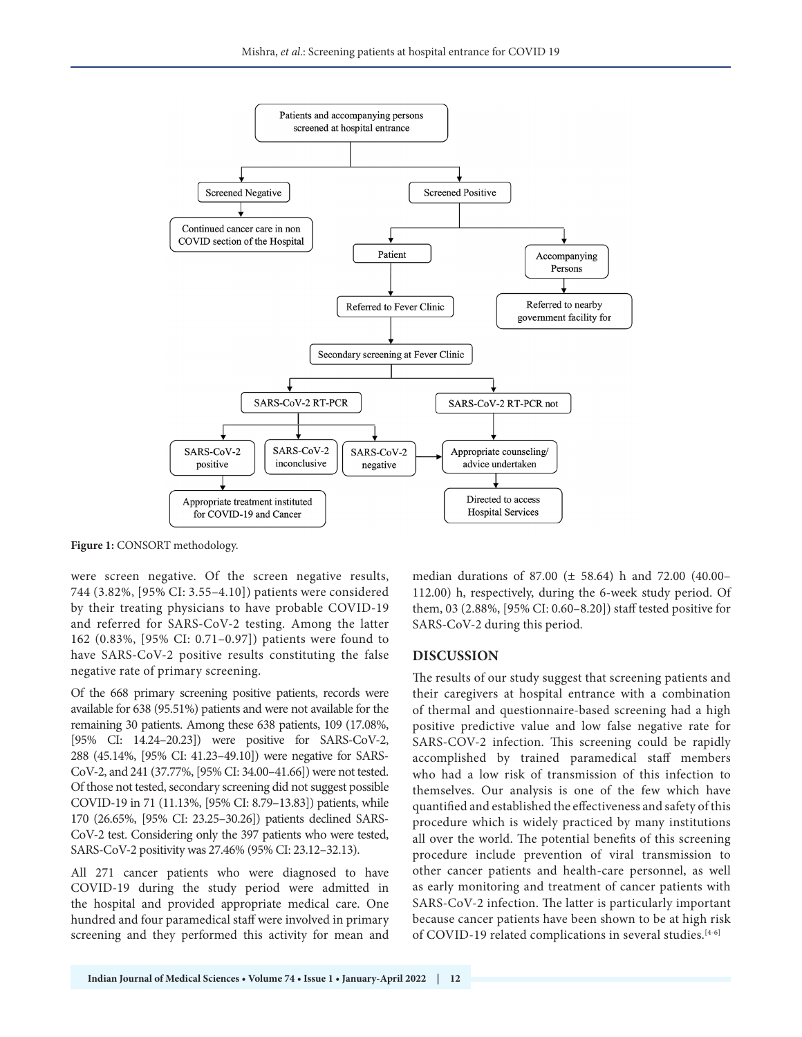

**Figure 1:** CONSORT methodology.

were screen negative. Of the screen negative results, 744 (3.82%, [95% CI: 3.55–4.10]) patients were considered by their treating physicians to have probable COVID-19 and referred for SARS-CoV-2 testing. Among the latter 162 (0.83%, [95% CI: 0.71–0.97]) patients were found to have SARS-CoV-2 positive results constituting the false negative rate of primary screening.

Of the 668 primary screening positive patients, records were available for 638 (95.51%) patients and were not available for the remaining 30 patients. Among these 638 patients, 109 (17.08%, [95% CI: 14.24–20.23]) were positive for SARS-CoV-2, 288 (45.14%, [95% CI: 41.23–49.10]) were negative for SARS-CoV-2, and 241 (37.77%, [95% CI: 34.00–41.66]) were not tested. Of those not tested, secondary screening did not suggest possible COVID-19 in 71 (11.13%, [95% CI: 8.79–13.83]) patients, while 170 (26.65%, [95% CI: 23.25–30.26]) patients declined SARS-CoV-2 test. Considering only the 397 patients who were tested, SARS-CoV-2 positivity was 27.46% (95% CI: 23.12–32.13).

All 271 cancer patients who were diagnosed to have COVID-19 during the study period were admitted in the hospital and provided appropriate medical care. One hundred and four paramedical staff were involved in primary screening and they performed this activity for mean and median durations of 87.00 (± 58.64) h and 72.00 (40.00– 112.00) h, respectively, during the 6-week study period. Of them, 03 (2.88%, [95% CI: 0.60–8.20]) staff tested positive for SARS-CoV-2 during this period.

#### **DISCUSSION**

The results of our study suggest that screening patients and their caregivers at hospital entrance with a combination of thermal and questionnaire-based screening had a high positive predictive value and low false negative rate for SARS-COV-2 infection. This screening could be rapidly accomplished by trained paramedical staff members who had a low risk of transmission of this infection to themselves. Our analysis is one of the few which have quantified and established the effectiveness and safety of this procedure which is widely practiced by many institutions all over the world. The potential benefits of this screening procedure include prevention of viral transmission to other cancer patients and health-care personnel, as well as early monitoring and treatment of cancer patients with SARS-CoV-2 infection. The latter is particularly important because cancer patients have been shown to be at high risk of COVID-19 related complications in several studies.<sup>[4-6]</sup>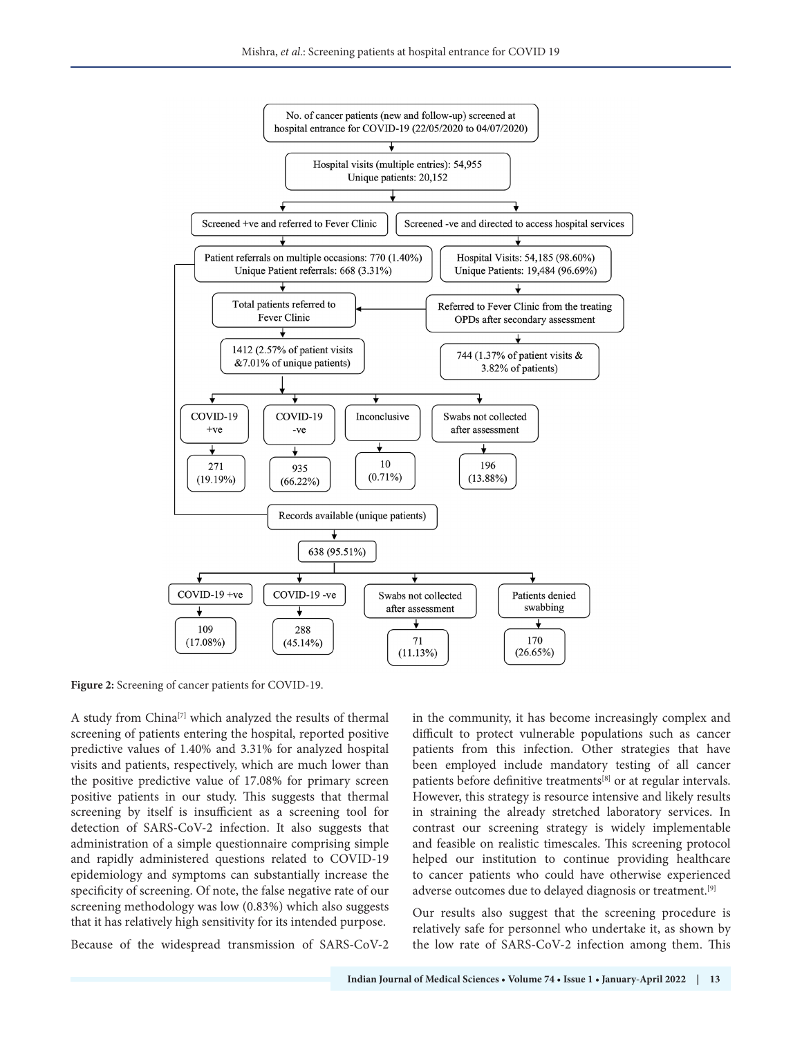

**Figure 2:** Screening of cancer patients for COVID-19.

A study from China[7] which analyzed the results of thermal screening of patients entering the hospital, reported positive predictive values of 1.40% and 3.31% for analyzed hospital visits and patients, respectively, which are much lower than the positive predictive value of 17.08% for primary screen positive patients in our study. This suggests that thermal screening by itself is insufficient as a screening tool for detection of SARS-CoV-2 infection. It also suggests that administration of a simple questionnaire comprising simple and rapidly administered questions related to COVID-19 epidemiology and symptoms can substantially increase the specificity of screening. Of note, the false negative rate of our screening methodology was low (0.83%) which also suggests that it has relatively high sensitivity for its intended purpose.

Because of the widespread transmission of SARS-CoV-2

in the community, it has become increasingly complex and difficult to protect vulnerable populations such as cancer patients from this infection. Other strategies that have been employed include mandatory testing of all cancer patients before definitive treatments[8] or at regular intervals. However, this strategy is resource intensive and likely results in straining the already stretched laboratory services. In contrast our screening strategy is widely implementable and feasible on realistic timescales. This screening protocol helped our institution to continue providing healthcare to cancer patients who could have otherwise experienced adverse outcomes due to delayed diagnosis or treatment.[9]

Our results also suggest that the screening procedure is relatively safe for personnel who undertake it, as shown by the low rate of SARS-CoV-2 infection among them. This